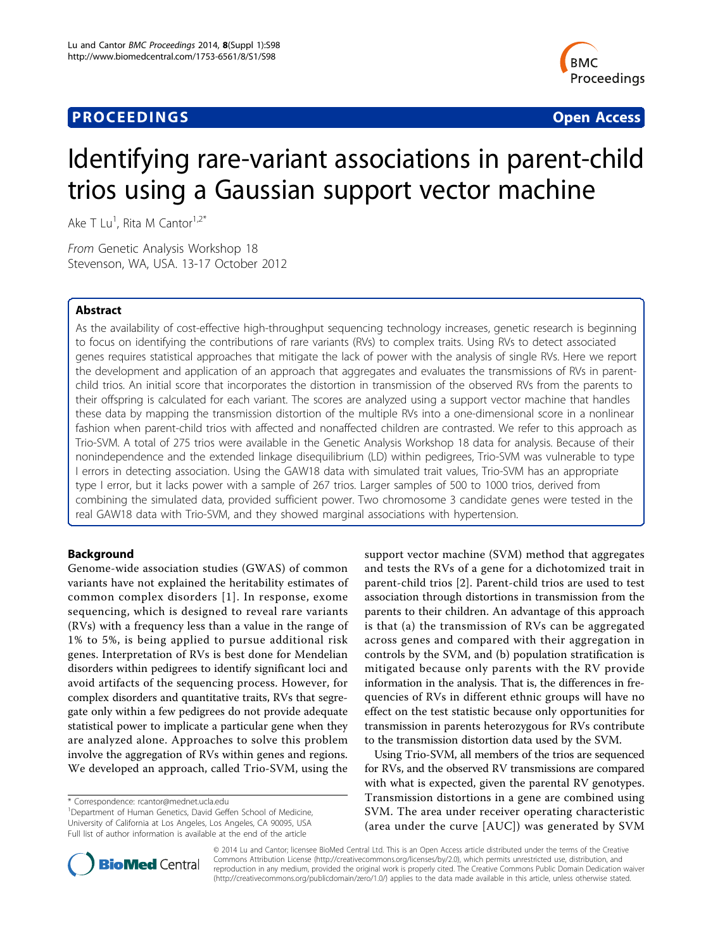## **PROCEEDINGS STATE SERVICE SERVICE SERVICE SERVICE SERVICE SERVICE SERVICE SERVICE SERVICE SERVICE SERVICE SERVICE SERVICE SERVICE SERVICE SERVICE SERVICE SERVICE SERVICE SERVICE SERVICE SERVICE SERVICE SERVICE SERVICE S**



# Identifying rare-variant associations in parent-child trios using a Gaussian support vector machine

Ake T Lu<sup>1</sup>, Rita M Cantor<sup>1,2\*</sup>

From Genetic Analysis Workshop 18 Stevenson, WA, USA. 13-17 October 2012

## Abstract

As the availability of cost-effective high-throughput sequencing technology increases, genetic research is beginning to focus on identifying the contributions of rare variants (RVs) to complex traits. Using RVs to detect associated genes requires statistical approaches that mitigate the lack of power with the analysis of single RVs. Here we report the development and application of an approach that aggregates and evaluates the transmissions of RVs in parentchild trios. An initial score that incorporates the distortion in transmission of the observed RVs from the parents to their offspring is calculated for each variant. The scores are analyzed using a support vector machine that handles these data by mapping the transmission distortion of the multiple RVs into a one-dimensional score in a nonlinear fashion when parent-child trios with affected and nonaffected children are contrasted. We refer to this approach as Trio-SVM. A total of 275 trios were available in the Genetic Analysis Workshop 18 data for analysis. Because of their nonindependence and the extended linkage disequilibrium (LD) within pedigrees, Trio-SVM was vulnerable to type I errors in detecting association. Using the GAW18 data with simulated trait values, Trio-SVM has an appropriate type I error, but it lacks power with a sample of 267 trios. Larger samples of 500 to 1000 trios, derived from combining the simulated data, provided sufficient power. Two chromosome 3 candidate genes were tested in the real GAW18 data with Trio-SVM, and they showed marginal associations with hypertension.

## Background

Genome-wide association studies (GWAS) of common variants have not explained the heritability estimates of common complex disorders [[1](#page-3-0)]. In response, exome sequencing, which is designed to reveal rare variants (RVs) with a frequency less than a value in the range of 1% to 5%, is being applied to pursue additional risk genes. Interpretation of RVs is best done for Mendelian disorders within pedigrees to identify significant loci and avoid artifacts of the sequencing process. However, for complex disorders and quantitative traits, RVs that segregate only within a few pedigrees do not provide adequate statistical power to implicate a particular gene when they are analyzed alone. Approaches to solve this problem involve the aggregation of RVs within genes and regions. We developed an approach, called Trio-SVM, using the

<sup>1</sup>Department of Human Genetics, David Geffen School of Medicine, University of California at Los Angeles, Los Angeles, CA 90095, USA Full list of author information is available at the end of the article

support vector machine (SVM) method that aggregates and tests the RVs of a gene for a dichotomized trait in parent-child trios [\[2](#page-3-0)]. Parent-child trios are used to test association through distortions in transmission from the parents to their children. An advantage of this approach is that (a) the transmission of RVs can be aggregated across genes and compared with their aggregation in controls by the SVM, and (b) population stratification is mitigated because only parents with the RV provide information in the analysis. That is, the differences in frequencies of RVs in different ethnic groups will have no effect on the test statistic because only opportunities for transmission in parents heterozygous for RVs contribute to the transmission distortion data used by the SVM.

Using Trio-SVM, all members of the trios are sequenced for RVs, and the observed RV transmissions are compared with what is expected, given the parental RV genotypes. Transmission distortions in a gene are combined using SVM. The area under receiver operating characteristic (area under the curve [AUC]) was generated by SVM



© 2014 Lu and Cantor; licensee BioMed Central Ltd. This is an Open Access article distributed under the terms of the Creative Commons Attribution License [\(http://creativecommons.org/licenses/by/2.0](http://creativecommons.org/licenses/by/2.0)), which permits unrestricted use, distribution, and reproduction in any medium, provided the original work is properly cited. The Creative Commons Public Domain Dedication waiver [\(http://creativecommons.org/publicdomain/zero/1.0/](http://creativecommons.org/publicdomain/zero/1.0/)) applies to the data made available in this article, unless otherwise stated.

<sup>\*</sup> Correspondence: [rcantor@mednet.ucla.edu](mailto:rcantor@mednet.ucla.edu)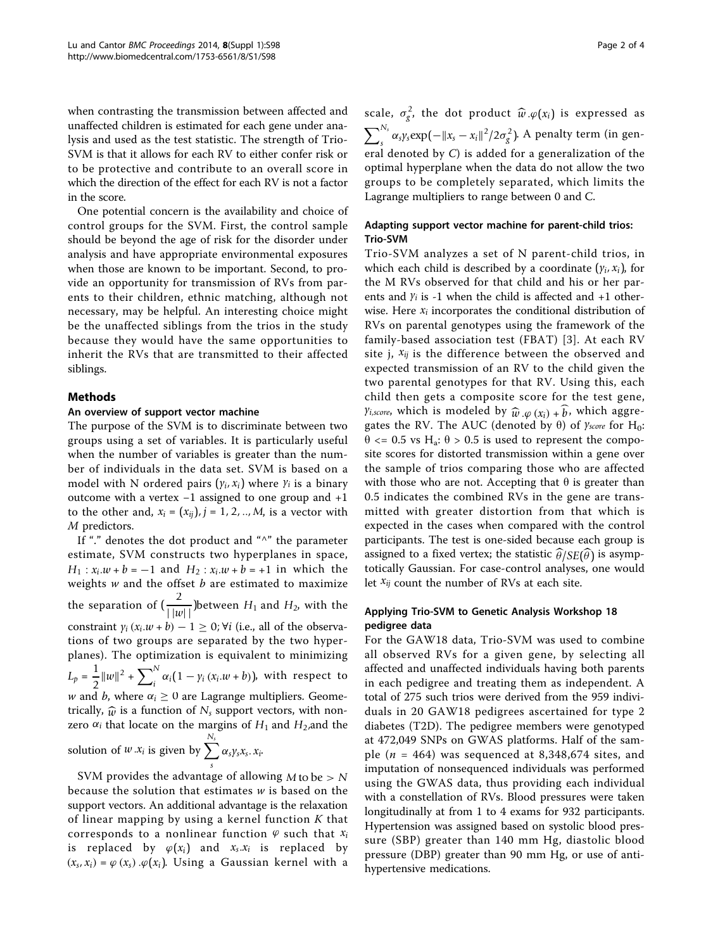when contrasting the transmission between affected and unaffected children is estimated for each gene under analysis and used as the test statistic. The strength of Trio-SVM is that it allows for each RV to either confer risk or to be protective and contribute to an overall score in which the direction of the effect for each RV is not a factor in the score.

One potential concern is the availability and choice of control groups for the SVM. First, the control sample should be beyond the age of risk for the disorder under analysis and have appropriate environmental exposures when those are known to be important. Second, to provide an opportunity for transmission of RVs from parents to their children, ethnic matching, although not necessary, may be helpful. An interesting choice might be the unaffected siblings from the trios in the study because they would have the same opportunities to inherit the RVs that are transmitted to their affected siblings.

## Methods

#### An overview of support vector machine

The purpose of the SVM is to discriminate between two groups using a set of variables. It is particularly useful when the number of variables is greater than the number of individuals in the data set. SVM is based on a model with N ordered pairs  $(y_i, x_i)$  where  $y_i$  is a binary outcome with a vertex −1 assigned to one group and +1 to the other and,  $x_i = (x_{ij})$ ,  $j = 1, 2, ..., M$ , is a vector with M predictors.

If "." denotes the dot product and " $\wedge$ " the parameter estimate, SVM constructs two hyperplanes in space, *H*<sub>1</sub> :  $x_i \cdot w + b = -1$  and  $H_2$  :  $x_i \cdot w + b = +1$  in which the weights  $w$  and the offset  $b$  are estimated to maximize the separation of  $\left(\frac{2}{11}\right)$  $\frac{1}{||w||}$ ) between *H*<sub>1</sub> and *H*<sub>2</sub>, with the constraint  $\gamma_i$  ( $x_i$ . $w$  +  $b$ ) − 1 ≥ 0;  $\forall i$  (i.e., all of the observations of two groups are separated by the two hyperplanes). The optimization is equivalent to minimizing  $L_p = \frac{1}{2} ||w||^2 + \sum_{i}^{N} \alpha_i (1 - \gamma_i (x_i \cdot w + b))$ , with respect to *w* and *b*, where  $\alpha_i \geq 0$  are Lagrange multipliers. Geometrically,  $\hat{w}$  is a function of  $N_s$  support vectors, with nonzero  $\alpha_i$  that locate on the margins of  $H_1$  and  $H_2$ , and the solution of  $w.x_i$  is given by  $\sum_{i=1}^{N_s}$ 

*s* α*sysxs*. *xi* .

SVM provides the advantage of allowing *M* to be > *N* because the solution that estimates w is based on the support vectors. An additional advantage is the relaxation of linear mapping by using a kernel function  $K$  that corresponds to a nonlinear function  $\varphi$  such that  $x_i$ is replaced by  $\varphi(x_i)$  and  $x_s.x_i$  is replaced by  $(x_s, x_i) = \varphi(x_s) \cdot \varphi(x_i)$ . Using a Gaussian kernel with a

scale,  $\sigma_g^2$ , the dot product  $\widehat{w}. \varphi(x_i)$  is expressed as  $\sum_{s}^{N_s} \alpha_s y_s \exp(-\|x_s - x_i\|^2 / 2\sigma_g^2)$ . A penalty term (in general denoted by C) is added for a generalization of the optimal hyperplane when the data do not allow the two groups to be completely separated, which limits the Lagrange multipliers to range between 0 and C.

## Adapting support vector machine for parent-child trios: Trio-SVM

Trio-SVM analyzes a set of N parent-child trios, in which each child is described by a coordinate  $(y_i, x_i)$ , for the M RVs observed for that child and his or her parents and  $\gamma_i$  is -1 when the child is affected and +1 otherwise. Here *xi* incorporates the conditional distribution of RVs on parental genotypes using the framework of the family-based association test (FBAT) [\[3\]](#page-3-0). At each RV site j, *xij* is the difference between the observed and expected transmission of an RV to the child given the two parental genotypes for that RV. Using this, each child then gets a composite score for the test gene, *Yi*,*score*, which is modeled by  $\widehat{w}$ ,  $\varphi$  ( $x_i$ ) +  $\widehat{b}$ , which aggregates the RV. The AUC (denoted by θ) of  $\gamma_{score}$  for H<sub>0</sub>:  $\theta$  <= 0.5 vs H<sub>a</sub>:  $\theta$  > 0.5 is used to represent the composite scores for distorted transmission within a gene over the sample of trios comparing those who are affected with those who are not. Accepting that  $\theta$  is greater than 0.5 indicates the combined RVs in the gene are transmitted with greater distortion from that which is expected in the cases when compared with the control participants. The test is one-sided because each group is assigned to a fixed vertex; the statistic  $\widehat{\theta}/SE(\widehat{\theta})$  is asymptotically Gaussian. For case-control analyses, one would let *xij* count the number of RVs at each site.

## Applying Trio-SVM to Genetic Analysis Workshop 18 pedigree data

For the GAW18 data, Trio-SVM was used to combine all observed RVs for a given gene, by selecting all affected and unaffected individuals having both parents in each pedigree and treating them as independent. A total of 275 such trios were derived from the 959 individuals in 20 GAW18 pedigrees ascertained for type 2 diabetes (T2D). The pedigree members were genotyped at 472,049 SNPs on GWAS platforms. Half of the sample ( $n = 464$ ) was sequenced at 8,348,674 sites, and imputation of nonsequenced individuals was performed using the GWAS data, thus providing each individual with a constellation of RVs. Blood pressures were taken longitudinally at from 1 to 4 exams for 932 participants. Hypertension was assigned based on systolic blood pressure (SBP) greater than 140 mm Hg, diastolic blood pressure (DBP) greater than 90 mm Hg, or use of antihypertensive medications.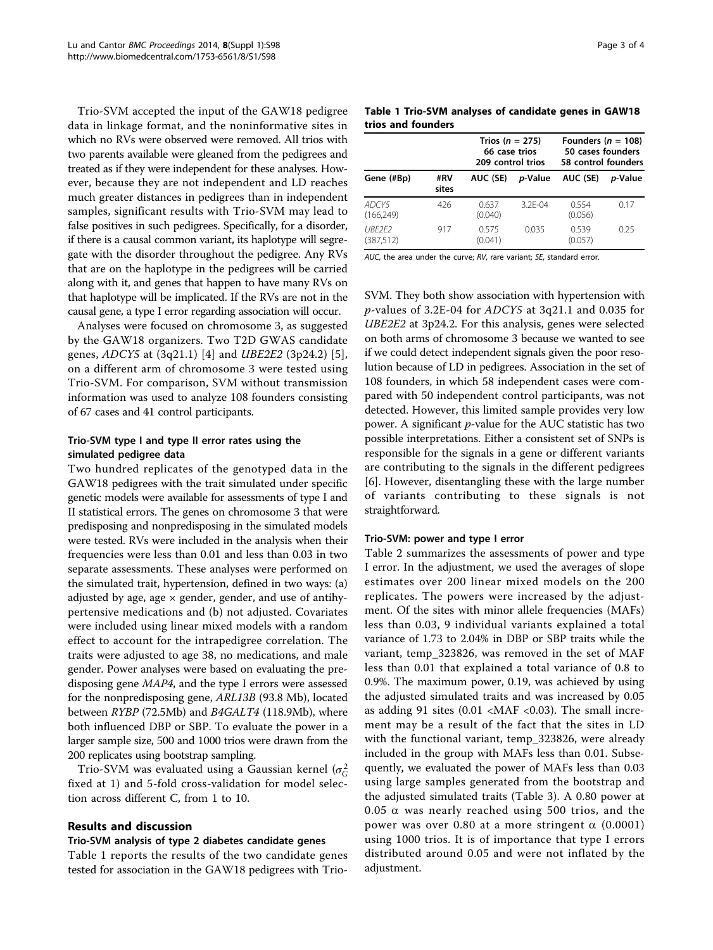Trio-SVM accepted the input of the GAW18 pedigree data in linkage format, and the noninformative sites in which no RVs were observed were removed. All trios with two parents available were gleaned from the pedigrees and treated as if they were independent for these analyses. However, because they are not independent and LD reaches much greater distances in pedigrees than in independent samples, significant results with Trio-SVM may lead to false positives in such pedigrees. Specifically, for a disorder, if there is a causal common variant, its haplotype will segregate with the disorder throughout the pedigree. Any RVs that are on the haplotype in the pedigrees will be carried along with it, and genes that happen to have many RVs on that haplotype will be implicated. If the RVs are not in the causal gene, a type I error regarding association will occur.

Analyses were focused on chromosome 3, as suggested by the GAW18 organizers. Two T2D GWAS candidate genes, ADCY5 at (3q21.1) [[4\]](#page-3-0) and UBE2E2 (3p24.2) [[5](#page-3-0)], on a different arm of chromosome 3 were tested using Trio-SVM. For comparison, SVM without transmission information was used to analyze 108 founders consisting of 67 cases and 41 control participants.

## Trio-SVM type I and type II error rates using the simulated pedigree data

Two hundred replicates of the genotyped data in the GAW18 pedigrees with the trait simulated under specific genetic models were available for assessments of type I and II statistical errors. The genes on chromosome 3 that were predisposing and nonpredisposing in the simulated models were tested. RVs were included in the analysis when their frequencies were less than 0.01 and less than 0.03 in two separate assessments. These analyses were performed on the simulated trait, hypertension, defined in two ways: (a) adjusted by age, age  $\times$  gender, gender, and use of antihypertensive medications and (b) not adjusted. Covariates were included using linear mixed models with a random effect to account for the intrapedigree correlation. The traits were adjusted to age 38, no medications, and male gender. Power analyses were based on evaluating the predisposing gene MAP4, and the type I errors were assessed for the nonpredisposing gene, ARL13B (93.8 Mb), located between RYBP (72.5Mb) and B4GALT4 (118.9Mb), where both influenced DBP or SBP. To evaluate the power in a larger sample size, 500 and 1000 trios were drawn from the 200 replicates using bootstrap sampling.

Trio-SVM was evaluated using a Gaussian kernel ( $\sigma_G^2$ fixed at 1) and 5-fold cross-validation for model selection across different C, from 1 to 10.

## Results and discussion

## Trio-SVM analysis of type 2 diabetes candidate genes

Table 1 reports the results of the two candidate genes tested for association in the GAW18 pedigrees with Trio-

| Table 1 Trio-SVM analyses of candidate genes in GAW18 |  |  |
|-------------------------------------------------------|--|--|
| trios and founders                                    |  |  |

|                     |              | Trios ( $n = 275$ )<br>66 case trios<br>209 control trios |                 | Founders ( $n = 108$ )<br>50 cases founders<br>58 control founders |                 |  |
|---------------------|--------------|-----------------------------------------------------------|-----------------|--------------------------------------------------------------------|-----------------|--|
| Gene (#Bp)          | #RV<br>sites | AUC (SE)                                                  | <i>p</i> -Value | AUC (SE)                                                           | <i>p</i> -Value |  |
| ADCY5<br>(166, 249) | 426          | 0.637<br>(0.040)                                          | $3.2F - 04$     | 0.554<br>(0.056)                                                   | 0.17            |  |
| UBF2F2<br>(387,512) | 917          | 0.575<br>(0.041)                                          | 0.035           | 0.539<br>(0.057)                                                   | 0.25            |  |

AUC, the area under the curve: RV, rare variant: SE, standard error.

SVM. They both show association with hypertension with p-values of 3.2E-04 for ADCY5 at 3q21.1 and 0.035 for UBE2E2 at 3p24.2. For this analysis, genes were selected on both arms of chromosome 3 because we wanted to see if we could detect independent signals given the poor resolution because of LD in pedigrees. Association in the set of 108 founders, in which 58 independent cases were compared with 50 independent control participants, was not detected. However, this limited sample provides very low power. A significant  $p$ -value for the AUC statistic has two possible interpretations. Either a consistent set of SNPs is responsible for the signals in a gene or different variants are contributing to the signals in the different pedigrees [[6\]](#page-3-0). However, disentangling these with the large number of variants contributing to these signals is not straightforward.

## Trio-SVM: power and type I error

Table [2](#page-3-0) summarizes the assessments of power and type I error. In the adjustment, we used the averages of slope estimates over 200 linear mixed models on the 200 replicates. The powers were increased by the adjustment. Of the sites with minor allele frequencies (MAFs) less than 0.03, 9 individual variants explained a total variance of 1.73 to 2.04% in DBP or SBP traits while the variant, temp\_323826, was removed in the set of MAF less than 0.01 that explained a total variance of 0.8 to 0.9%. The maximum power, 0.19, was achieved by using the adjusted simulated traits and was increased by 0.05 as adding 91 sites (0.01  $\langle \text{MAF } \langle 0.03 \rangle$ ). The small increment may be a result of the fact that the sites in LD with the functional variant, temp\_323826, were already included in the group with MAFs less than 0.01. Subsequently, we evaluated the power of MAFs less than 0.03 using large samples generated from the bootstrap and the adjusted simulated traits (Table [3](#page-3-0)). A 0.80 power at 0.05  $\alpha$  was nearly reached using 500 trios, and the power was over 0.80 at a more stringent  $\alpha$  (0.0001) using 1000 trios. It is of importance that type I errors distributed around 0.05 and were not inflated by the adjustment.